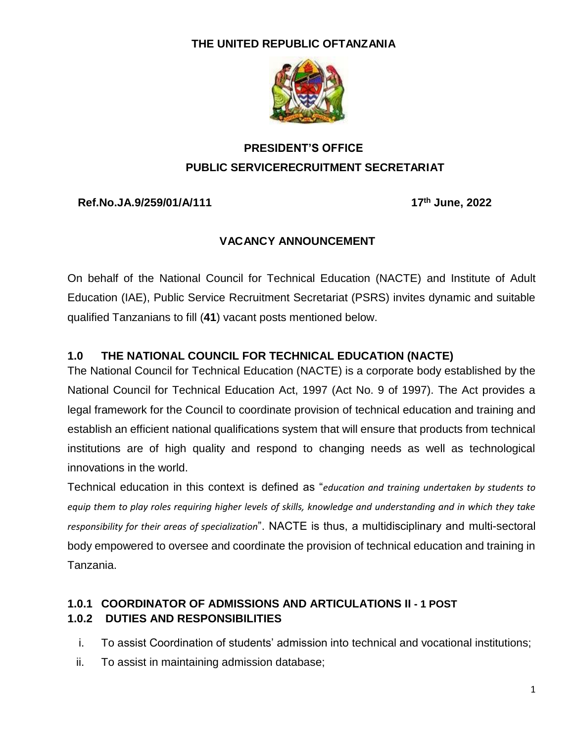### **THE UNITED REPUBLIC OFTANZANIA**



# **PRESIDENT'S OFFICE PUBLIC SERVICERECRUITMENT SECRETARIAT**

#### **Ref.No.JA.9/259/01/A/111 17**

**th June, 2022**

#### **VACANCY ANNOUNCEMENT**

On behalf of the National Council for Technical Education (NACTE) and Institute of Adult Education (IAE), Public Service Recruitment Secretariat (PSRS) invites dynamic and suitable qualified Tanzanians to fill (**41**) vacant posts mentioned below.

#### **1.0 THE NATIONAL COUNCIL FOR TECHNICAL EDUCATION (NACTE)**

The National Council for Technical Education (NACTE) is a corporate body established by the National Council for Technical Education Act, 1997 (Act No. 9 of 1997). The Act provides a legal framework for the Council to coordinate provision of technical education and training and establish an efficient national qualifications system that will ensure that products from technical institutions are of high quality and respond to changing needs as well as technological innovations in the world.

Technical education in this context is defined as "*education and training undertaken by students to equip them to play roles requiring higher levels of skills, knowledge and understanding and in which they take responsibility for their areas of specialization*". NACTE is thus, a multidisciplinary and multi-sectoral body empowered to oversee and coordinate the provision of technical education and training in Tanzania.

### **1.0.1 COORDINATOR OF ADMISSIONS AND ARTICULATIONS II - 1 POST 1.0.2 DUTIES AND RESPONSIBILITIES**

i. To assist Coordination of students' admission into technical and vocational institutions;

ii. To assist in maintaining admission database;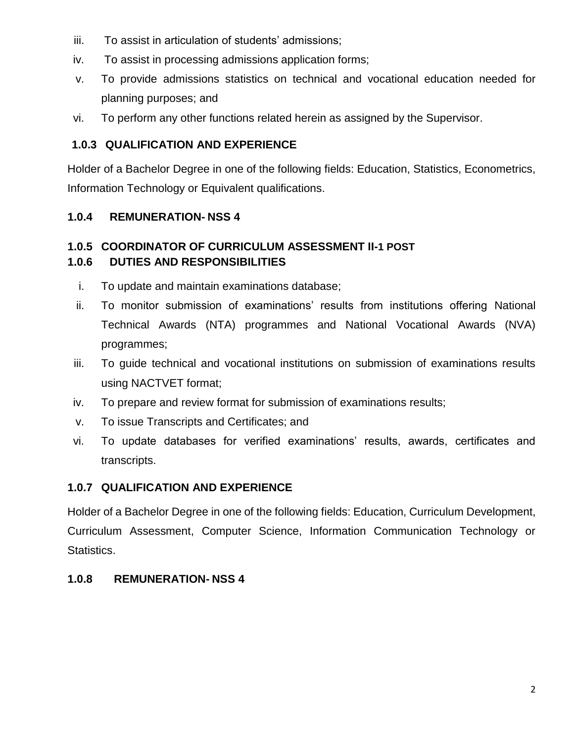- iii. To assist in articulation of students' admissions;
- iv. To assist in processing admissions application forms;
- v. To provide admissions statistics on technical and vocational education needed for planning purposes; and
- vi. To perform any other functions related herein as assigned by the Supervisor.

# **1.0.3 QUALIFICATION AND EXPERIENCE**

Holder of a Bachelor Degree in one of the following fields: Education, Statistics, Econometrics, Information Technology or Equivalent qualifications.

### **1.0.4 REMUNERATION- NSS 4**

#### **1.0.5 COORDINATOR OF CURRICULUM ASSESSMENT II-1 POST 1.0.6 DUTIES AND RESPONSIBILITIES**

- i. To update and maintain examinations database;
- ii. To monitor submission of examinations' results from institutions offering National Technical Awards (NTA) programmes and National Vocational Awards (NVA) programmes;
- iii. To guide technical and vocational institutions on submission of examinations results using NACTVET format;
- iv. To prepare and review format for submission of examinations results;
- v. To issue Transcripts and Certificates; and
- vi. To update databases for verified examinations' results, awards, certificates and transcripts.

# **1.0.7 QUALIFICATION AND EXPERIENCE**

Holder of a Bachelor Degree in one of the following fields: Education, Curriculum Development, Curriculum Assessment, Computer Science, Information Communication Technology or Statistics.

# **1.0.8 REMUNERATION- NSS 4**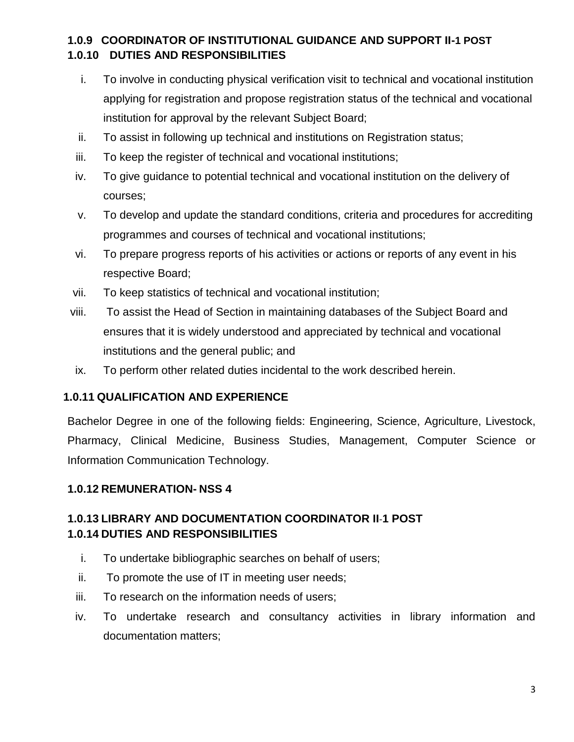## **1.0.9 COORDINATOR OF INSTITUTIONAL GUIDANCE AND SUPPORT II-1 POST 1.0.10 DUTIES AND RESPONSIBILITIES**

- i. To involve in conducting physical verification visit to technical and vocational institution applying for registration and propose registration status of the technical and vocational institution for approval by the relevant Subject Board;
- ii. To assist in following up technical and institutions on Registration status;
- iii. To keep the register of technical and vocational institutions;
- iv. To give guidance to potential technical and vocational institution on the delivery of courses;
- v. To develop and update the standard conditions, criteria and procedures for accrediting programmes and courses of technical and vocational institutions;
- vi. To prepare progress reports of his activities or actions or reports of any event in his respective Board;
- vii. To keep statistics of technical and vocational institution;
- viii. To assist the Head of Section in maintaining databases of the Subject Board and ensures that it is widely understood and appreciated by technical and vocational institutions and the general public; and
- ix. To perform other related duties incidental to the work described herein.

#### **1.0.11 QUALIFICATION AND EXPERIENCE**

Bachelor Degree in one of the following fields: Engineering, Science, Agriculture, Livestock, Pharmacy, Clinical Medicine, Business Studies, Management, Computer Science or Information Communication Technology.

#### **1.0.12 REMUNERATION- NSS 4**

### **1.0.13 LIBRARY AND DOCUMENTATION COORDINATOR II**-**1 POST 1.0.14 DUTIES AND RESPONSIBILITIES**

- i. To undertake bibliographic searches on behalf of users;
- ii. To promote the use of IT in meeting user needs;
- iii. To research on the information needs of users;
- iv. To undertake research and consultancy activities in library information and documentation matters;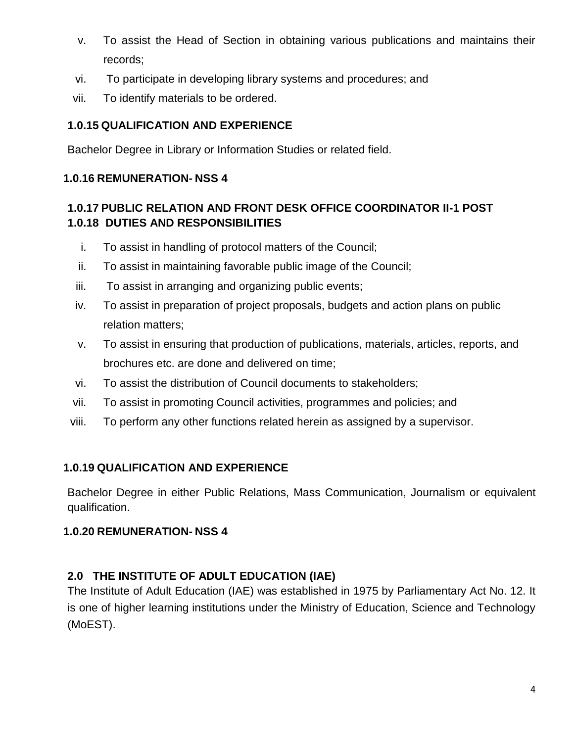- v. To assist the Head of Section in obtaining various publications and maintains their records;
- vi. To participate in developing library systems and procedures; and
- vii. To identify materials to be ordered.

#### **1.0.15 QUALIFICATION AND EXPERIENCE**

Bachelor Degree in Library or Information Studies or related field.

#### **1.0.16 REMUNERATION- NSS 4**

### **1.0.17 PUBLIC RELATION AND FRONT DESK OFFICE COORDINATOR II-1 POST 1.0.18 DUTIES AND RESPONSIBILITIES**

- i. To assist in handling of protocol matters of the Council;
- ii. To assist in maintaining favorable public image of the Council;
- iii. To assist in arranging and organizing public events;
- iv. To assist in preparation of project proposals, budgets and action plans on public relation matters;
- v. To assist in ensuring that production of publications, materials, articles, reports, and brochures etc. are done and delivered on time;
- vi. To assist the distribution of Council documents to stakeholders;
- vii. To assist in promoting Council activities, programmes and policies; and
- viii. To perform any other functions related herein as assigned by a supervisor.

### **1.0.19 QUALIFICATION AND EXPERIENCE**

Bachelor Degree in either Public Relations, Mass Communication, Journalism or equivalent qualification.

#### **1.0.20 REMUNERATION- NSS 4**

### **2.0 THE INSTITUTE OF ADULT EDUCATION (IAE)**

The Institute of Adult Education (IAE) was established in 1975 by Parliamentary Act No. 12. It is one of higher learning institutions under the Ministry of Education, Science and Technology (MoEST).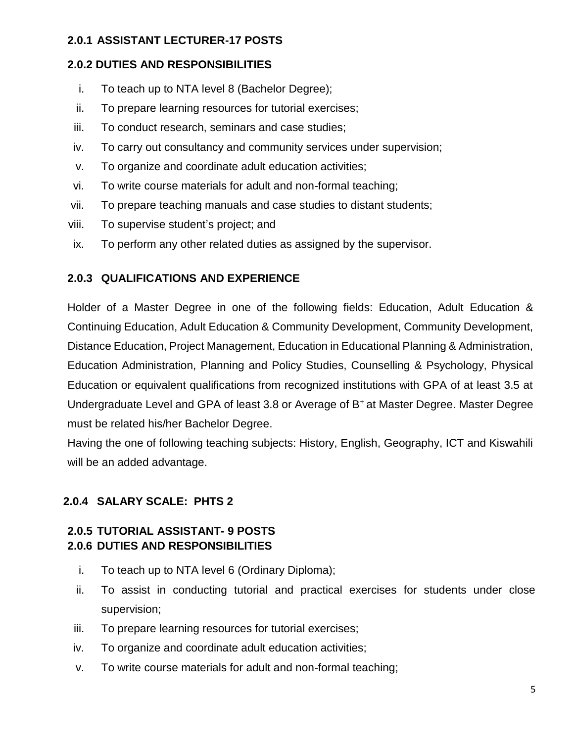### **2.0.1 ASSISTANT LECTURER-17 POSTS**

#### **2.0.2 DUTIES AND RESPONSIBILITIES**

- i. To teach up to NTA level 8 (Bachelor Degree);
- ii. To prepare learning resources for tutorial exercises;
- iii. To conduct research, seminars and case studies;
- iv. To carry out consultancy and community services under supervision;
- v. To organize and coordinate adult education activities;
- vi. To write course materials for adult and non-formal teaching;
- vii. To prepare teaching manuals and case studies to distant students;
- viii. To supervise student's project; and
- ix. To perform any other related duties as assigned by the supervisor.

#### **2.0.3 QUALIFICATIONS AND EXPERIENCE**

Holder of a Master Degree in one of the following fields: Education, Adult Education & Continuing Education, Adult Education & Community Development, Community Development, Distance Education, Project Management, Education in Educational Planning & Administration, Education Administration, Planning and Policy Studies, Counselling & Psychology, Physical Education or equivalent qualifications from recognized institutions with GPA of at least 3.5 at Undergraduate Level and GPA of least 3.8 or Average of B<sup>+</sup>at Master Degree. Master Degree must be related his/her Bachelor Degree.

Having the one of following teaching subjects: History, English, Geography, ICT and Kiswahili will be an added advantage.

### **2.0.4 SALARY SCALE: PHTS 2**

#### **2.0.5 TUTORIAL ASSISTANT- 9 POSTS 2.0.6 DUTIES AND RESPONSIBILITIES**

- i. To teach up to NTA level 6 (Ordinary Diploma);
- ii. To assist in conducting tutorial and practical exercises for students under close supervision;
- iii. To prepare learning resources for tutorial exercises;
- iv. To organize and coordinate adult education activities;
- v. To write course materials for adult and non-formal teaching;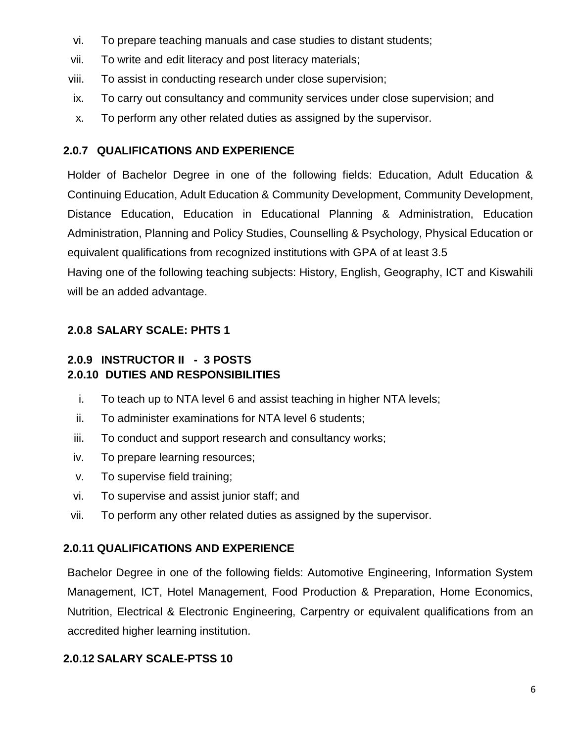- vi. To prepare teaching manuals and case studies to distant students;
- vii. To write and edit literacy and post literacy materials;
- viii. To assist in conducting research under close supervision;
- ix. To carry out consultancy and community services under close supervision; and
- x. To perform any other related duties as assigned by the supervisor.

#### **2.0.7 QUALIFICATIONS AND EXPERIENCE**

Holder of Bachelor Degree in one of the following fields: Education, Adult Education & Continuing Education, Adult Education & Community Development, Community Development, Distance Education, Education in Educational Planning & Administration, Education Administration, Planning and Policy Studies, Counselling & Psychology, Physical Education or equivalent qualifications from recognized institutions with GPA of at least 3.5 Having one of the following teaching subjects: History, English, Geography, ICT and Kiswahili will be an added advantage.

## **2.0.8 SALARY SCALE: PHTS 1**

### **2.0.9 INSTRUCTOR II - 3 POSTS 2.0.10 DUTIES AND RESPONSIBILITIES**

- i. To teach up to NTA level 6 and assist teaching in higher NTA levels;
- ii. To administer examinations for NTA level 6 students;
- iii. To conduct and support research and consultancy works;
- iv. To prepare learning resources;
- v. To supervise field training;
- vi. To supervise and assist junior staff; and
- vii. To perform any other related duties as assigned by the supervisor.

### **2.0.11 QUALIFICATIONS AND EXPERIENCE**

Bachelor Degree in one of the following fields: Automotive Engineering, Information System Management, ICT, Hotel Management, Food Production & Preparation, Home Economics, Nutrition, Electrical & Electronic Engineering, Carpentry or equivalent qualifications from an accredited higher learning institution.

### **2.0.12 SALARY SCALE-PTSS 10**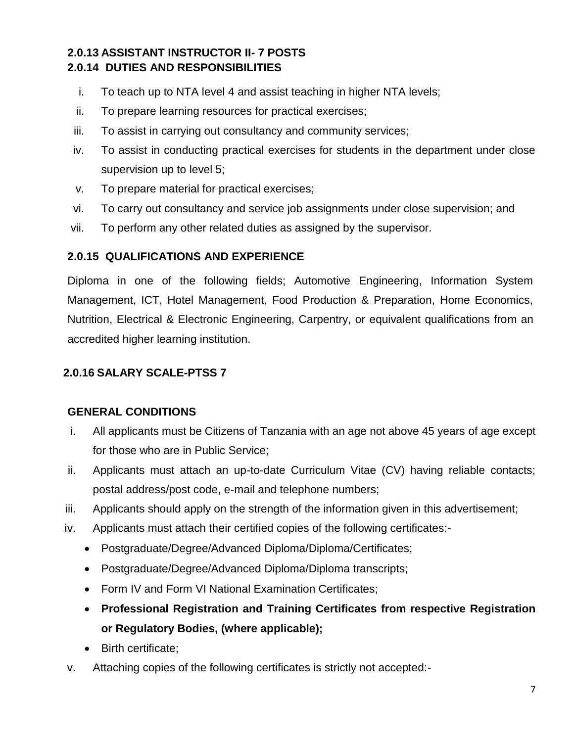### **2.0.13 ASSISTANT INSTRUCTOR II- 7 POSTS 2.0.14 DUTIES AND RESPONSIBILITIES**

- i. To teach up to NTA level 4 and assist teaching in higher NTA levels;
- ii. To prepare learning resources for practical exercises;
- iii. To assist in carrying out consultancy and community services;
- iv. To assist in conducting practical exercises for students in the department under close supervision up to level 5;
- v. To prepare material for practical exercises;
- vi. To carry out consultancy and service job assignments under close supervision; and
- vii. To perform any other related duties as assigned by the supervisor.

#### **2.0.15 QUALIFICATIONS AND EXPERIENCE**

Diploma in one of the following fields; Automotive Engineering, Information System Management, ICT, Hotel Management, Food Production & Preparation, Home Economics, Nutrition, Electrical & Electronic Engineering, Carpentry, or equivalent qualifications from an accredited higher learning institution.

### **2.0.16 SALARY SCALE-PTSS 7**

#### **GENERAL CONDITIONS**

- i. All applicants must be Citizens of Tanzania with an age not above 45 years of age except for those who are in Public Service;
- ii. Applicants must attach an up-to-date Curriculum Vitae (CV) having reliable contacts; postal address/post code, e-mail and telephone numbers;
- iii. Applicants should apply on the strength of the information given in this advertisement;
- iv. Applicants must attach their certified copies of the following certificates:-
	- Postgraduate/Degree/Advanced Diploma/Diploma/Certificates;
	- Postgraduate/Degree/Advanced Diploma/Diploma transcripts;
	- Form IV and Form VI National Examination Certificates:
	- **Professional Registration and Training Certificates from respective Registration or Regulatory Bodies, (where applicable);**
	- Birth certificate;
- v. Attaching copies of the following certificates is strictly not accepted:-